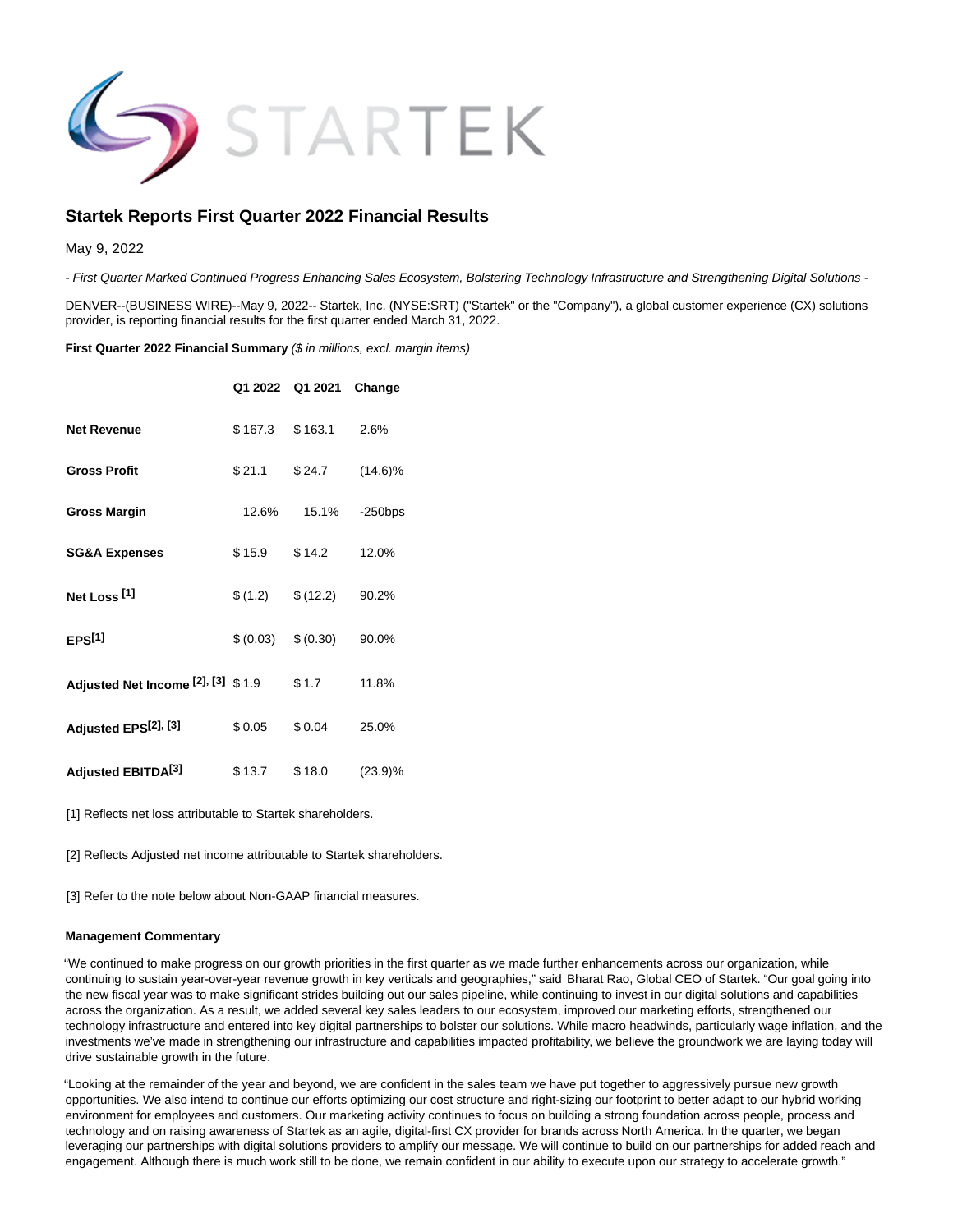

# **Startek Reports First Quarter 2022 Financial Results**

May 9, 2022

- First Quarter Marked Continued Progress Enhancing Sales Ecosystem, Bolstering Technology Infrastructure and Strengthening Digital Solutions -

DENVER--(BUSINESS WIRE)--May 9, 2022-- Startek, Inc. (NYSE:SRT) ("Startek" or the "Company"), a global customer experience (CX) solutions provider, is reporting financial results for the first quarter ended March 31, 2022.

**First Quarter 2022 Financial Summary (\$ in millions, excl. margin items)** 

|                                    |          | Q1 2022 Q1 2021 | Change     |
|------------------------------------|----------|-----------------|------------|
| <b>Net Revenue</b>                 | \$167.3  | \$163.1         | 2.6%       |
| <b>Gross Profit</b>                | \$21.1   | \$24.7          | $(14.6)\%$ |
| <b>Gross Margin</b>                | 12.6%    | 15.1%           | $-250$ bps |
| <b>SG&amp;A Expenses</b>           | \$15.9   | \$14.2          | 12.0%      |
| Net Loss <sup>[1]</sup>            | \$(1.2)  | \$(12.2)        | 90.2%      |
| EPS <sup>[1]</sup>                 | \$(0.03) | \$ (0.30)       | 90.0%      |
| Adjusted Net Income [2], [3] \$1.9 |          | \$1.7           | 11.8%      |
| Adjusted EPS <sup>[2], [3]</sup>   | \$0.05   | \$0.04          | 25.0%      |
| Adjusted EBITDA <sup>[3]</sup>     | \$13.7   | \$18.0          | (23.9)%    |

[1] Reflects net loss attributable to Startek shareholders.

[2] Reflects Adjusted net income attributable to Startek shareholders.

[3] Refer to the note below about Non-GAAP financial measures.

#### **Management Commentary**

"We continued to make progress on our growth priorities in the first quarter as we made further enhancements across our organization, while continuing to sustain year-over-year revenue growth in key verticals and geographies," said Bharat Rao, Global CEO of Startek. "Our goal going into the new fiscal year was to make significant strides building out our sales pipeline, while continuing to invest in our digital solutions and capabilities across the organization. As a result, we added several key sales leaders to our ecosystem, improved our marketing efforts, strengthened our technology infrastructure and entered into key digital partnerships to bolster our solutions. While macro headwinds, particularly wage inflation, and the investments we've made in strengthening our infrastructure and capabilities impacted profitability, we believe the groundwork we are laying today will drive sustainable growth in the future.

"Looking at the remainder of the year and beyond, we are confident in the sales team we have put together to aggressively pursue new growth opportunities. We also intend to continue our efforts optimizing our cost structure and right-sizing our footprint to better adapt to our hybrid working environment for employees and customers. Our marketing activity continues to focus on building a strong foundation across people, process and technology and on raising awareness of Startek as an agile, digital-first CX provider for brands across North America. In the quarter, we began leveraging our partnerships with digital solutions providers to amplify our message. We will continue to build on our partnerships for added reach and engagement. Although there is much work still to be done, we remain confident in our ability to execute upon our strategy to accelerate growth."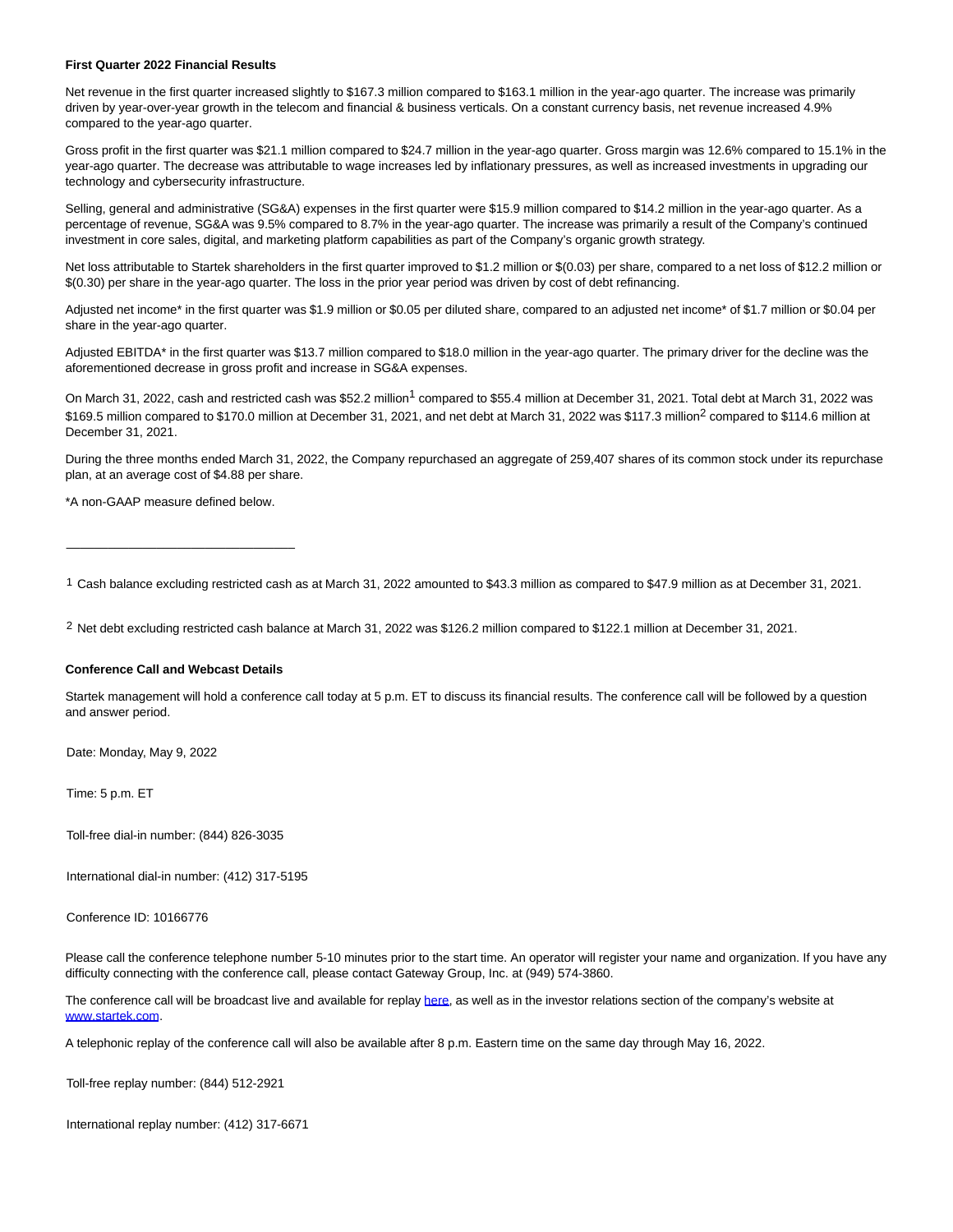#### **First Quarter 2022 Financial Results**

Net revenue in the first quarter increased slightly to \$167.3 million compared to \$163.1 million in the year-ago quarter. The increase was primarily driven by year-over-year growth in the telecom and financial & business verticals. On a constant currency basis, net revenue increased 4.9% compared to the year-ago quarter.

Gross profit in the first quarter was \$21.1 million compared to \$24.7 million in the year-ago quarter. Gross margin was 12.6% compared to 15.1% in the year-ago quarter. The decrease was attributable to wage increases led by inflationary pressures, as well as increased investments in upgrading our technology and cybersecurity infrastructure.

Selling, general and administrative (SG&A) expenses in the first quarter were \$15.9 million compared to \$14.2 million in the year-ago quarter. As a percentage of revenue, SG&A was 9.5% compared to 8.7% in the year-ago quarter. The increase was primarily a result of the Company's continued investment in core sales, digital, and marketing platform capabilities as part of the Company's organic growth strategy.

Net loss attributable to Startek shareholders in the first quarter improved to \$1.2 million or \$(0.03) per share, compared to a net loss of \$12.2 million or \$(0.30) per share in the year-ago quarter. The loss in the prior year period was driven by cost of debt refinancing.

Adjusted net income\* in the first quarter was \$1.9 million or \$0.05 per diluted share, compared to an adjusted net income\* of \$1.7 million or \$0.04 per share in the year-ago quarter.

Adjusted EBITDA\* in the first quarter was \$13.7 million compared to \$18.0 million in the year-ago quarter. The primary driver for the decline was the aforementioned decrease in gross profit and increase in SG&A expenses.

On March 31, 2022, cash and restricted cash was \$52.2 million<sup>1</sup> compared to \$55.4 million at December 31, 2021. Total debt at March 31, 2022 was \$169.5 million compared to \$170.0 million at December 31, 2021, and net debt at March 31, 2022 was \$117.3 million<sup>2</sup> compared to \$114.6 million at December 31, 2021.

During the three months ended March 31, 2022, the Company repurchased an aggregate of 259,407 shares of its common stock under its repurchase plan, at an average cost of \$4.88 per share.

\*A non-GAAP measure defined below.

\_\_\_\_\_\_\_\_\_\_\_\_\_\_\_\_\_\_\_\_\_\_\_\_\_\_\_\_\_\_\_\_\_

1 Cash balance excluding restricted cash as at March 31, 2022 amounted to \$43.3 million as compared to \$47.9 million as at December 31, 2021.

2 Net debt excluding restricted cash balance at March 31, 2022 was \$126.2 million compared to \$122.1 million at December 31, 2021.

#### **Conference Call and Webcast Details**

Startek management will hold a conference call today at 5 p.m. ET to discuss its financial results. The conference call will be followed by a question and answer period.

Date: Monday, May 9, 2022

Time: 5 p.m. ET

Toll-free dial-in number: (844) 826-3035

International dial-in number: (412) 317-5195

Conference ID: 10166776

Please call the conference telephone number 5-10 minutes prior to the start time. An operator will register your name and organization. If you have any difficulty connecting with the conference call, please contact Gateway Group, Inc. at (949) 574-3860.

The conference call will be broadcast live and available for replay [here,](https://cts.businesswire.com/ct/CT?id=smartlink&url=https%3A%2F%2Fviavid.webcasts.com%2Fstarthere.jsp%3Fei%3D1546982%26tp_key%3Dcb90e4818f&esheet=52712825&newsitemid=20220509005739&lan=en-US&anchor=here&index=1&md5=712d93956991c55b0c6cca5e0144c299) as well as in the investor relations section of the company's website at [www.startek.com.](https://cts.businesswire.com/ct/CT?id=smartlink&url=http%3A%2F%2Fwww.startek.com&esheet=52712825&newsitemid=20220509005739&lan=en-US&anchor=www.startek.com&index=2&md5=588b18c6319337a6477e62df2a899e05)

A telephonic replay of the conference call will also be available after 8 p.m. Eastern time on the same day through May 16, 2022.

Toll-free replay number: (844) 512-2921

International replay number: (412) 317-6671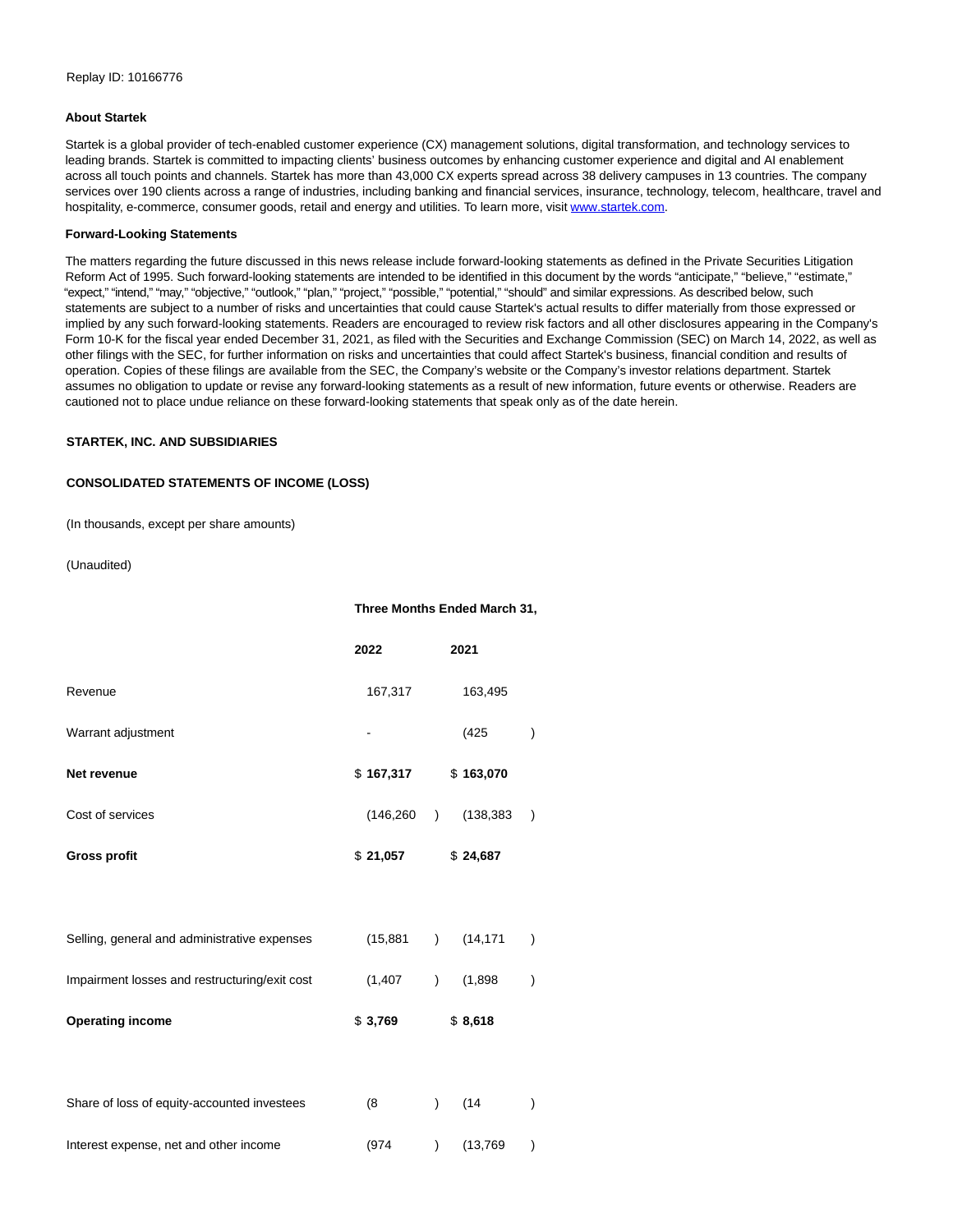#### **About Startek**

Startek is a global provider of tech-enabled customer experience (CX) management solutions, digital transformation, and technology services to leading brands. Startek is committed to impacting clients' business outcomes by enhancing customer experience and digital and AI enablement across all touch points and channels. Startek has more than 43,000 CX experts spread across 38 delivery campuses in 13 countries. The company services over 190 clients across a range of industries, including banking and financial services, insurance, technology, telecom, healthcare, travel and hospitality, e-commerce, consumer goods, retail and energy and utilities. To learn more, visit [www.startek.com.](https://cts.businesswire.com/ct/CT?id=smartlink&url=http%3A%2F%2Fwww.startek.com&esheet=52712825&newsitemid=20220509005739&lan=en-US&anchor=www.startek.com&index=3&md5=05d93a4bb21956b815c39f1c019a892f)

#### **Forward-Looking Statements**

The matters regarding the future discussed in this news release include forward-looking statements as defined in the Private Securities Litigation Reform Act of 1995. Such forward-looking statements are intended to be identified in this document by the words "anticipate," "believe," "estimate," "expect," "intend," "may," "objective," "outlook," "plan," "project," "possible," "potential," "should" and similar expressions. As described below, such statements are subject to a number of risks and uncertainties that could cause Startek's actual results to differ materially from those expressed or implied by any such forward-looking statements. Readers are encouraged to review risk factors and all other disclosures appearing in the Company's Form 10-K for the fiscal year ended December 31, 2021, as filed with the Securities and Exchange Commission (SEC) on March 14, 2022, as well as other filings with the SEC, for further information on risks and uncertainties that could affect Startek's business, financial condition and results of operation. Copies of these filings are available from the SEC, the Company's website or the Company's investor relations department. Startek assumes no obligation to update or revise any forward-looking statements as a result of new information, future events or otherwise. Readers are cautioned not to place undue reliance on these forward-looking statements that speak only as of the date herein.

### **STARTEK, INC. AND SUBSIDIARIES**

### **CONSOLIDATED STATEMENTS OF INCOME (LOSS)**

(In thousands, except per share amounts)

(Unaudited)

|                                               | Three Months Ended March 31, |                         |           |  |
|-----------------------------------------------|------------------------------|-------------------------|-----------|--|
|                                               | 2022                         | 2021                    |           |  |
| Revenue                                       | 167,317                      | 163,495                 |           |  |
| Warrant adjustment                            |                              | (425)                   |           |  |
| Net revenue                                   | \$167,317                    | \$163,070               |           |  |
| Cost of services                              | (146, 260)                   | (138, 383)<br>$\lambda$ | $\lambda$ |  |
| <b>Gross profit</b>                           | \$21,057                     | \$24,687                |           |  |
|                                               |                              |                         |           |  |
| Selling, general and administrative expenses  | (15, 881)                    | (14, 171)<br>$\lambda$  |           |  |
| Impairment losses and restructuring/exit cost | (1, 407)                     | (1,898)<br>$\lambda$    |           |  |
| <b>Operating income</b>                       | \$3,769                      | \$8,618                 |           |  |
|                                               |                              |                         |           |  |
| Share of loss of equity-accounted investees   | (8)                          | (14)<br>$\mathcal{E}$   |           |  |
| Interest expense, net and other income        | (974)                        | (13, 769)<br>)          |           |  |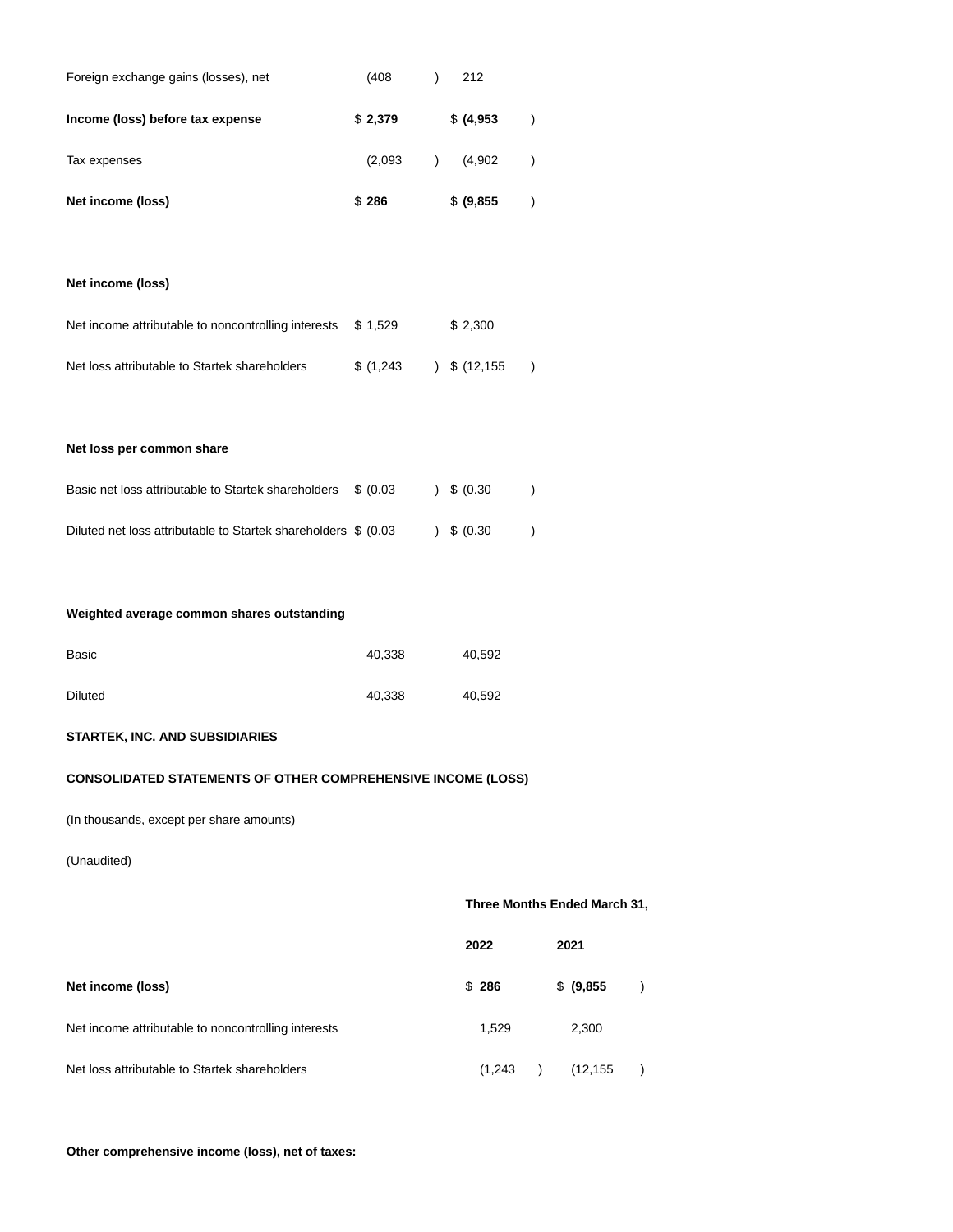| Foreign exchange gains (losses), net                | (408)     | )             | 212            |               |
|-----------------------------------------------------|-----------|---------------|----------------|---------------|
| Income (loss) before tax expense                    | \$2,379   |               | \$ (4,953)     | $\mathcal{E}$ |
| Tax expenses                                        | (2,093)   | $\mathcal{L}$ | (4,902)        | $\mathcal{E}$ |
| Net income (loss)                                   | \$286     |               | \$ (9,855)     | $\mathcal{E}$ |
|                                                     |           |               |                |               |
| Net income (loss)                                   |           |               |                |               |
| Net income attributable to noncontrolling interests | \$1,529   |               | \$2,300        |               |
| Net loss attributable to Startek shareholders       | \$(1,243) |               | $)$ \$ (12,155 |               |
|                                                     |           |               |                |               |
| Net loss per common share                           |           |               |                |               |
| Basic net loss attributable to Startek shareholders | \$ (0.03) | $\mathcal{L}$ | \$ (0.30)      |               |
|                                                     |           |               |                |               |

# **Weighted average common shares outstanding**

| Basic          | 40,338 | 40,592 |
|----------------|--------|--------|
| <b>Diluted</b> | 40,338 | 40,592 |

Diluted net loss attributable to Startek shareholders  $$ (0.03 )$   $$ (0.30 )$ 

# **STARTEK, INC. AND SUBSIDIARIES**

### **CONSOLIDATED STATEMENTS OF OTHER COMPREHENSIVE INCOME (LOSS)**

(In thousands, except per share amounts)

### (Unaudited)

## **Three Months Ended March 31,**

|                                                     | 2022    | 2021       |  |
|-----------------------------------------------------|---------|------------|--|
| Net income (loss)                                   | \$286   | \$ (9,855) |  |
| Net income attributable to noncontrolling interests | 1.529   | 2,300      |  |
| Net loss attributable to Startek shareholders       | (1,243) | (12, 155)  |  |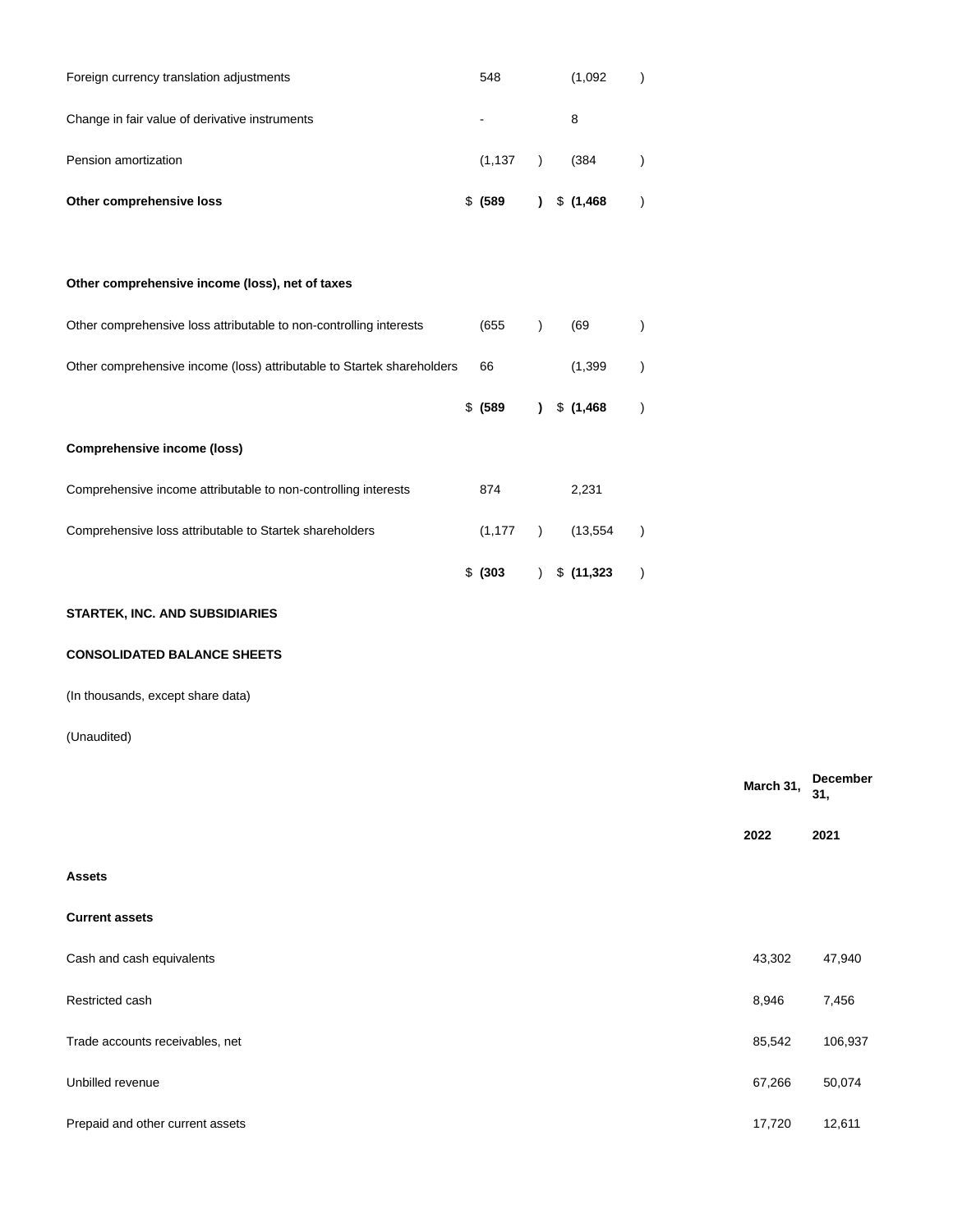| Other comprehensive loss                       | \$ (589) |  | $\frac{1}{2}$ \$ (1,468) |  |
|------------------------------------------------|----------|--|--------------------------|--|
| Pension amortization                           | (1, 137) |  | (384)                    |  |
| Change in fair value of derivative instruments | ۰        |  | 8                        |  |
| Foreign currency translation adjustments       | 548      |  | (1,092)                  |  |

| Other comprehensive loss attributable to non-controlling interests     | (655)       |              | (69)       |  |
|------------------------------------------------------------------------|-------------|--------------|------------|--|
| Other comprehensive income (loss) attributable to Startek shareholders | 66          |              | (1, 399)   |  |
|                                                                        | \$ (589)    | $\mathbf{r}$ | \$(1,468)  |  |
| Comprehensive income (loss)                                            |             |              |            |  |
| Comprehensive income attributable to non-controlling interests         | 874         |              | 2,231      |  |
| Comprehensive loss attributable to Startek shareholders                | (1, 177)    | $\lambda$    | (13.554)   |  |
|                                                                        | $$^{(303)}$ |              | \$(11,323) |  |

# **STARTEK, INC. AND SUBSIDIARIES**

**Other comprehensive income (loss), net of taxes**

# **CONSOLIDATED BALANCE SHEETS**

(In thousands, except share data)

## (Unaudited)

|                                  | March 31, | December<br>31, |
|----------------------------------|-----------|-----------------|
|                                  | 2022      | 2021            |
| <b>Assets</b>                    |           |                 |
| <b>Current assets</b>            |           |                 |
| Cash and cash equivalents        | 43,302    | 47,940          |
| Restricted cash                  | 8,946     | 7,456           |
| Trade accounts receivables, net  | 85,542    | 106,937         |
| Unbilled revenue                 | 67,266    | 50,074          |
| Prepaid and other current assets | 17,720    | 12,611          |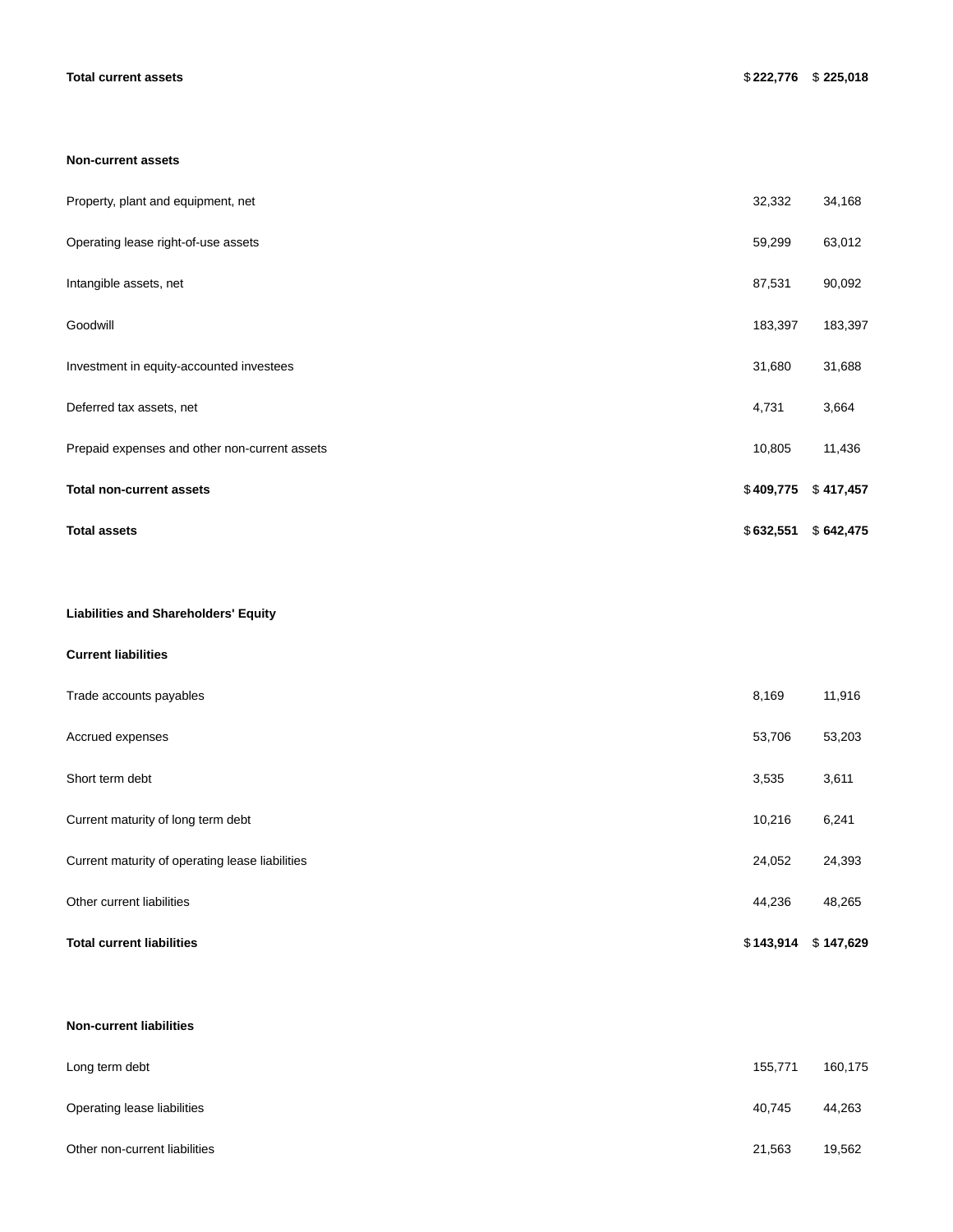#### **Non-current assets**

| <b>Total assets</b>                           | \$632,551 | \$642,475 |
|-----------------------------------------------|-----------|-----------|
| <b>Total non-current assets</b>               | \$409,775 | \$417,457 |
| Prepaid expenses and other non-current assets | 10,805    | 11,436    |
| Deferred tax assets, net                      | 4,731     | 3,664     |
| Investment in equity-accounted investees      | 31,680    | 31,688    |
| Goodwill                                      | 183,397   | 183,397   |
| Intangible assets, net                        | 87,531    | 90,092    |
| Operating lease right-of-use assets           | 59,299    | 63,012    |
| Property, plant and equipment, net            | 32,332    | 34,168    |

### **Liabilities and Shareholders' Equity**

### **Current liabilities**

| <b>Total current liabilities</b>                | \$143,914 | \$147,629 |
|-------------------------------------------------|-----------|-----------|
| Other current liabilities                       | 44,236    | 48,265    |
| Current maturity of operating lease liabilities | 24,052    | 24,393    |
| Current maturity of long term debt              | 10,216    | 6,241     |
| Short term debt                                 | 3,535     | 3,611     |
| Accrued expenses                                | 53,706    | 53,203    |
| Trade accounts payables                         | 8,169     | 11,916    |

### **Non-current liabilities**

| Long term debt                | 155,771 | 160,175 |
|-------------------------------|---------|---------|
| Operating lease liabilities   | 40,745  | 44,263  |
| Other non-current liabilities | 21,563  | 19,562  |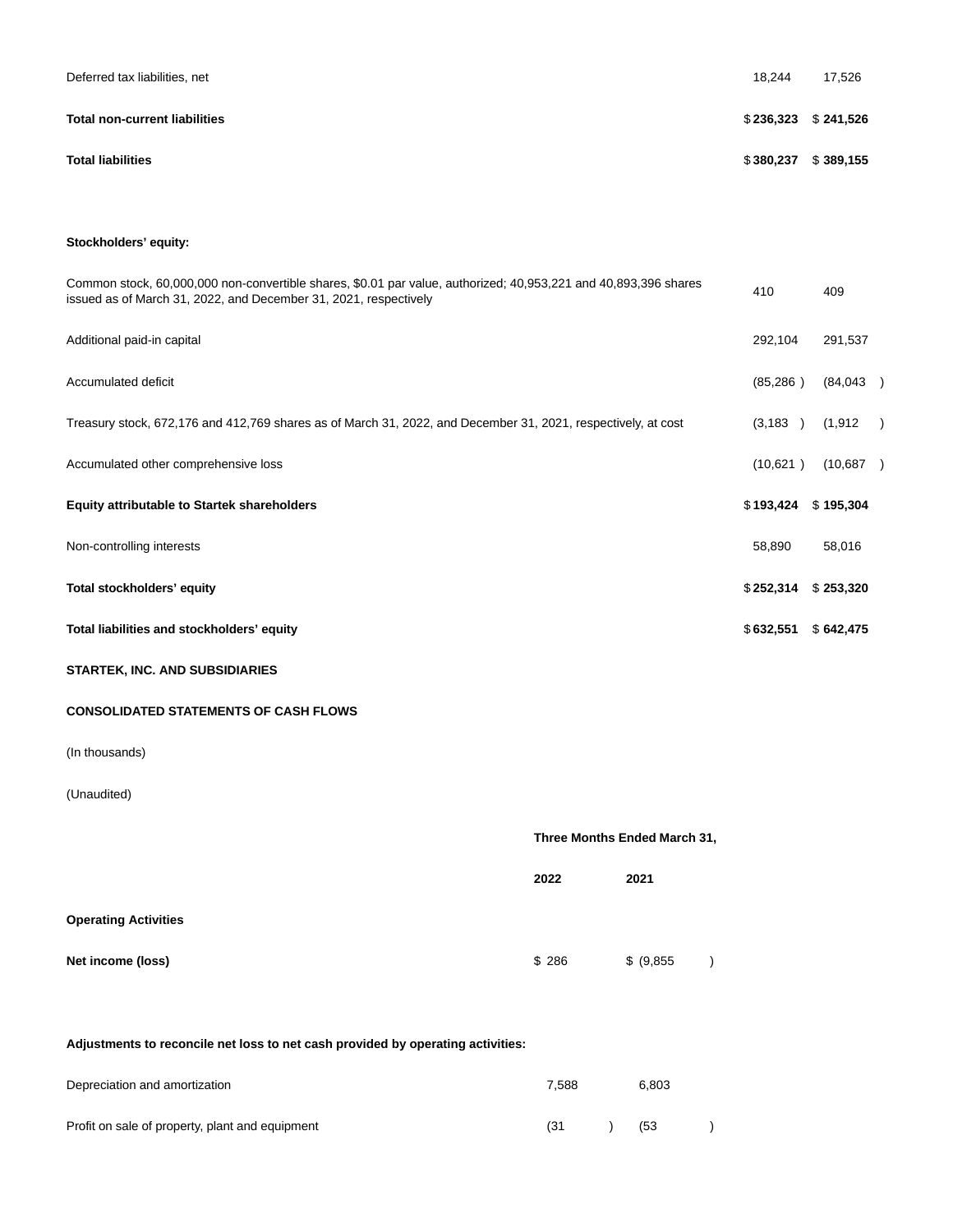| Deferred tax liabilities, net        | 18.244    | 17,526                |
|--------------------------------------|-----------|-----------------------|
| <b>Total non-current liabilities</b> |           | $$236,323$ $$241,526$ |
| <b>Total liabilities</b>             | \$380,237 | \$389,155             |

# **Stockholders' equity:**

| Common stock, 60,000,000 non-convertible shares, \$0.01 par value, authorized; 40,953,221 and 40,893,396 shares<br>issued as of March 31, 2022, and December 31, 2021, respectively | 410       | 409       |               |
|-------------------------------------------------------------------------------------------------------------------------------------------------------------------------------------|-----------|-----------|---------------|
| Additional paid-in capital                                                                                                                                                          | 292,104   | 291,537   |               |
| Accumulated deficit                                                                                                                                                                 | (85,286)  | (84,043)  |               |
| Treasury stock, 672,176 and 412,769 shares as of March 31, 2022, and December 31, 2021, respectively, at cost                                                                       | (3, 183)  | (1,912    | $\rightarrow$ |
| Accumulated other comprehensive loss                                                                                                                                                | (10,621)  | (10,687)  |               |
| <b>Equity attributable to Startek shareholders</b>                                                                                                                                  | \$193,424 | \$195,304 |               |
| Non-controlling interests                                                                                                                                                           | 58,890    | 58,016    |               |
| Total stockholders' equity                                                                                                                                                          | \$252,314 | \$253,320 |               |
| Total liabilities and stockholders' equity                                                                                                                                          | \$632,551 | \$642,475 |               |
| <b>STARTEK, INC. AND SUBSIDIARIES</b>                                                                                                                                               |           |           |               |

# **CONSOLIDATED STATEMENTS OF CASH FLOWS**

(In thousands)

# (Unaudited)

|                             | Three Months Ended March 31, |            |  |  |  |
|-----------------------------|------------------------------|------------|--|--|--|
|                             | 2022                         | 2021       |  |  |  |
| <b>Operating Activities</b> |                              |            |  |  |  |
| Net income (loss)           | \$286                        | \$ (9,855) |  |  |  |

# **Adjustments to reconcile net loss to net cash provided by operating activities:**

| Depreciation and amortization                   | 7.588 | 6.803 |  |
|-------------------------------------------------|-------|-------|--|
| Profit on sale of property, plant and equipment | (31)  | (53   |  |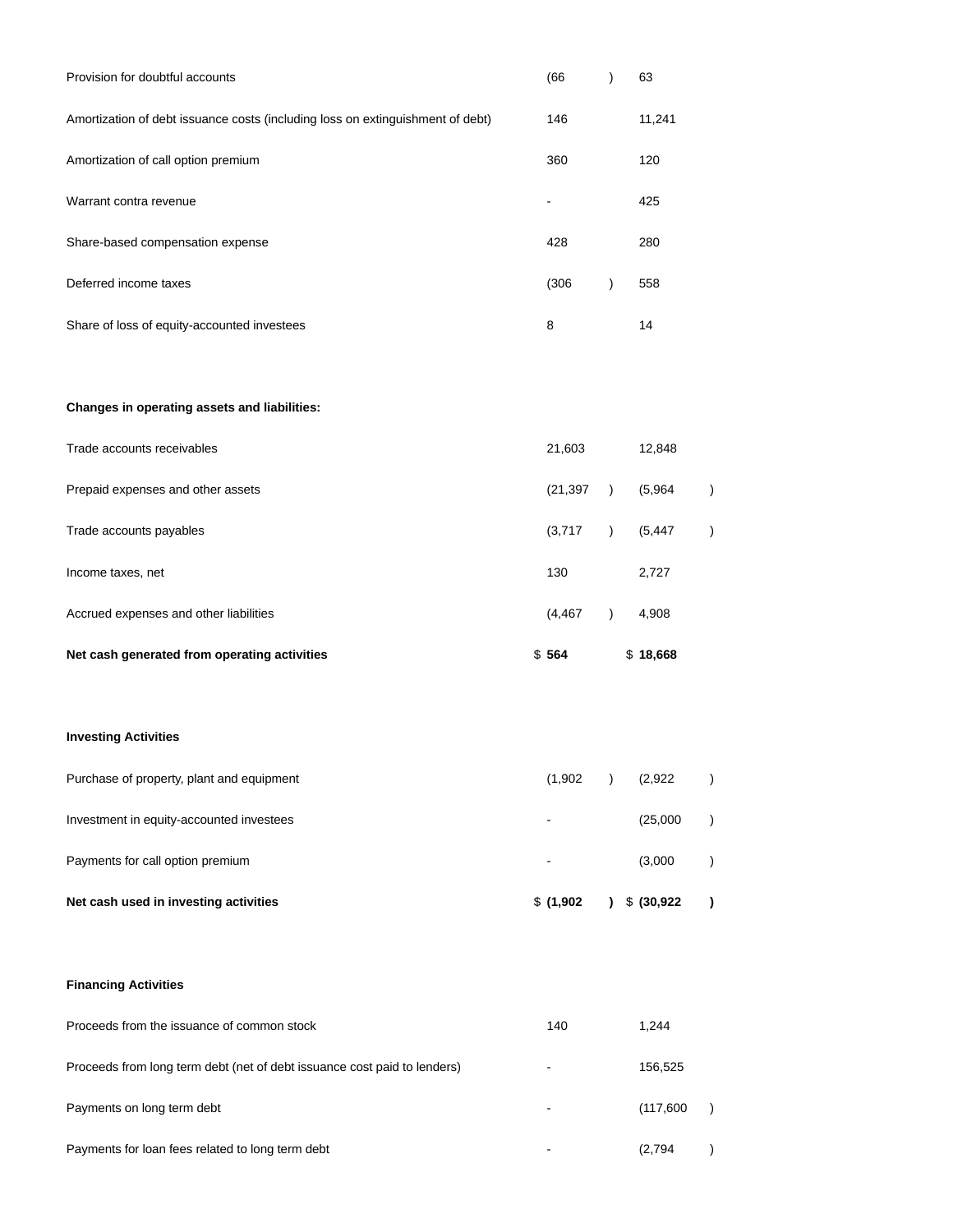| Provision for doubtful accounts                                                | (66)  | 63     |
|--------------------------------------------------------------------------------|-------|--------|
| Amortization of debt issuance costs (including loss on extinguishment of debt) | 146   | 11,241 |
| Amortization of call option premium                                            | 360   | 120    |
| Warrant contra revenue                                                         |       | 425    |
| Share-based compensation expense                                               | 428   | 280    |
| Deferred income taxes                                                          | (306) | 558    |
| Share of loss of equity-accounted investees                                    | 8     | 14     |

# **Changes in operating assets and liabilities:**

| Net cash generated from operating activities | \$564     | \$18,668 |  |
|----------------------------------------------|-----------|----------|--|
| Accrued expenses and other liabilities       | (4, 467)  | 4,908    |  |
| Income taxes, net                            | 130       | 2,727    |  |
| Trade accounts payables                      | (3,717)   | (5, 447) |  |
| Prepaid expenses and other assets            | (21, 397) | (5,964)  |  |
| Trade accounts receivables                   | 21,603    | 12,848   |  |

# **Investing Activities**

| Net cash used in investing activities     | \$(1,902) | $\frac{1}{2}$ \$ (30,922) |  |
|-------------------------------------------|-----------|---------------------------|--|
| Payments for call option premium          | ۰         | (3,000)                   |  |
| Investment in equity-accounted investees  | ۰         | (25,000)                  |  |
| Purchase of property, plant and equipment | (1,902)   | (2,922)                   |  |

## **Financing Activities**

| Proceeds from the issuance of common stock                               | 140  | 1.244     |  |
|--------------------------------------------------------------------------|------|-----------|--|
| Proceeds from long term debt (net of debt issuance cost paid to lenders) | $\,$ | 156,525   |  |
| Payments on long term debt                                               | $\,$ | (117,600) |  |
| Payments for loan fees related to long term debt                         |      | (2,794)   |  |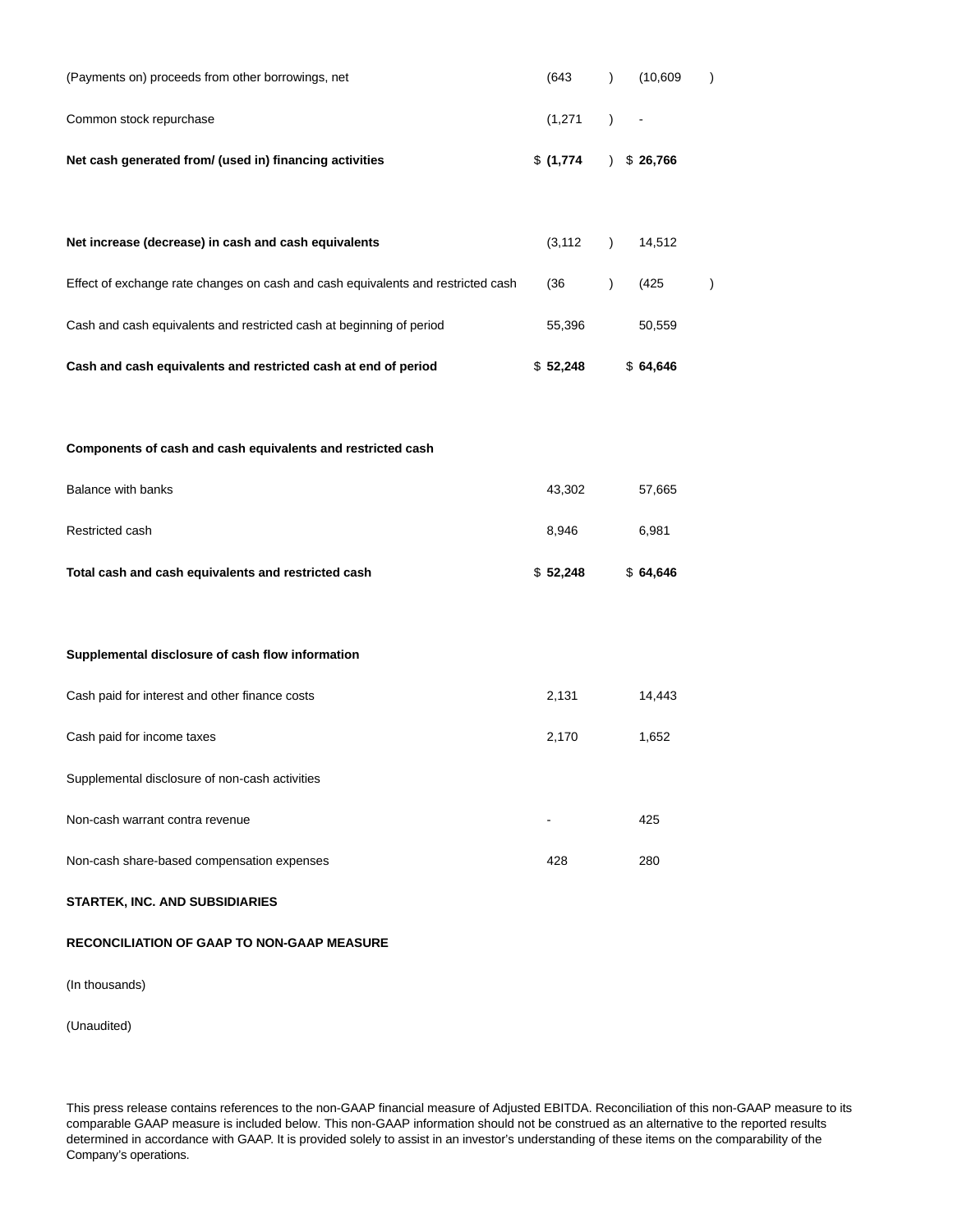| Net cash generated from/ (used in) financing activities | $$(1,774)$ $$26,766$ |          |  |
|---------------------------------------------------------|----------------------|----------|--|
| Common stock repurchase                                 | $(1,271)$ -          |          |  |
| (Payments on) proceeds from other borrowings, net       | (643                 | (10.609) |  |

| Net increase (decrease) in cash and cash equivalents                             | (3.112)  | 14.512   |  |
|----------------------------------------------------------------------------------|----------|----------|--|
| Effect of exchange rate changes on cash and cash equivalents and restricted cash | (36      | (425     |  |
| Cash and cash equivalents and restricted cash at beginning of period             | 55.396   | 50.559   |  |
| Cash and cash equivalents and restricted cash at end of period                   | \$52,248 | \$64,646 |  |

# **Components of cash and cash equivalents and restricted cash**

| Total cash and cash equivalents and restricted cash | \$52.248 | \$64.646 |
|-----------------------------------------------------|----------|----------|
| Restricted cash                                     | 8.946    | 6.981    |
| Balance with banks                                  | 43.302   | 57.665   |

# **Supplemental disclosure of cash flow information**

| Cash paid for interest and other finance costs | 2,131 | 14,443 |
|------------------------------------------------|-------|--------|
| Cash paid for income taxes                     | 2,170 | 1,652  |
| Supplemental disclosure of non-cash activities |       |        |
| Non-cash warrant contra revenue                |       | 425    |
| Non-cash share-based compensation expenses     | 428   | 280    |

### **STARTEK, INC. AND SUBSIDIARIES**

### **RECONCILIATION OF GAAP TO NON-GAAP MEASURE**

(In thousands)

(Unaudited)

This press release contains references to the non-GAAP financial measure of Adjusted EBITDA. Reconciliation of this non-GAAP measure to its comparable GAAP measure is included below. This non-GAAP information should not be construed as an alternative to the reported results determined in accordance with GAAP. It is provided solely to assist in an investor's understanding of these items on the comparability of the Company's operations.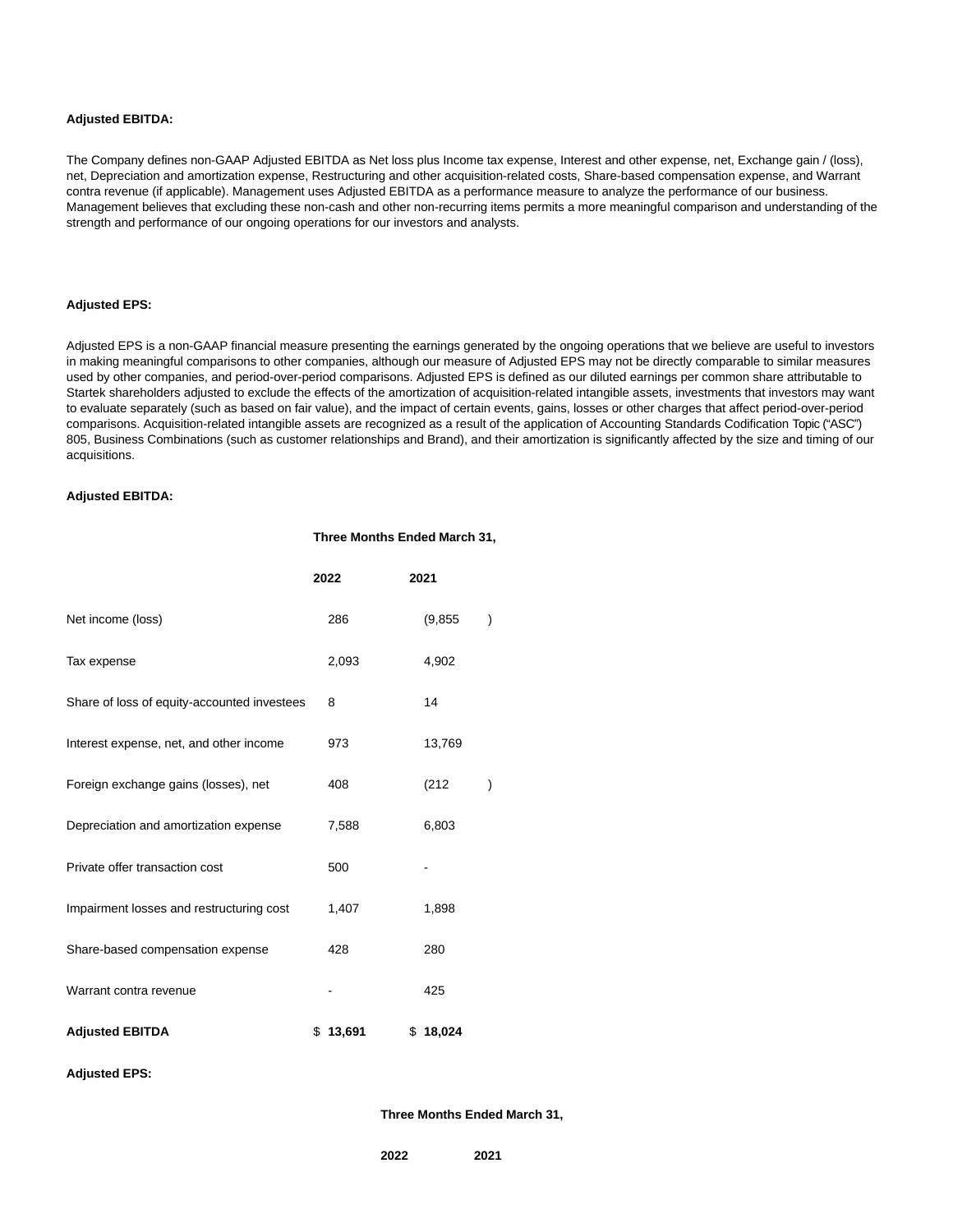### **Adjusted EBITDA:**

The Company defines non-GAAP Adjusted EBITDA as Net loss plus Income tax expense, Interest and other expense, net, Exchange gain / (loss), net, Depreciation and amortization expense, Restructuring and other acquisition-related costs, Share-based compensation expense, and Warrant contra revenue (if applicable). Management uses Adjusted EBITDA as a performance measure to analyze the performance of our business. Management believes that excluding these non-cash and other non-recurring items permits a more meaningful comparison and understanding of the strength and performance of our ongoing operations for our investors and analysts.

### **Adjusted EPS:**

Adjusted EPS is a non-GAAP financial measure presenting the earnings generated by the ongoing operations that we believe are useful to investors in making meaningful comparisons to other companies, although our measure of Adjusted EPS may not be directly comparable to similar measures used by other companies, and period-over-period comparisons. Adjusted EPS is defined as our diluted earnings per common share attributable to Startek shareholders adjusted to exclude the effects of the amortization of acquisition-related intangible assets, investments that investors may want to evaluate separately (such as based on fair value), and the impact of certain events, gains, losses or other charges that affect period-over-period comparisons. Acquisition-related intangible assets are recognized as a result of the application of Accounting Standards Codification Topic ("ASC") 805, Business Combinations (such as customer relationships and Brand), and their amortization is significantly affected by the size and timing of our acquisitions.

**Three Months Ended March 31,**

### **Adjusted EBITDA:**

|                                             | 2022     | 2021     |               |
|---------------------------------------------|----------|----------|---------------|
| Net income (loss)                           | 286      | (9, 855) | $\mathcal{E}$ |
| Tax expense                                 | 2,093    | 4,902    |               |
| Share of loss of equity-accounted investees | 8        | 14       |               |
| Interest expense, net, and other income     | 973      | 13,769   |               |
| Foreign exchange gains (losses), net        | 408      | (212)    |               |
| Depreciation and amortization expense       | 7,588    | 6,803    |               |
| Private offer transaction cost              | 500      |          |               |
| Impairment losses and restructuring cost    | 1,407    | 1,898    |               |
| Share-based compensation expense            | 428      | 280      |               |
| Warrant contra revenue                      |          | 425      |               |
| <b>Adjusted EBITDA</b>                      | \$13,691 | \$18,024 |               |

#### **Adjusted EPS:**

**Three Months Ended March 31,**